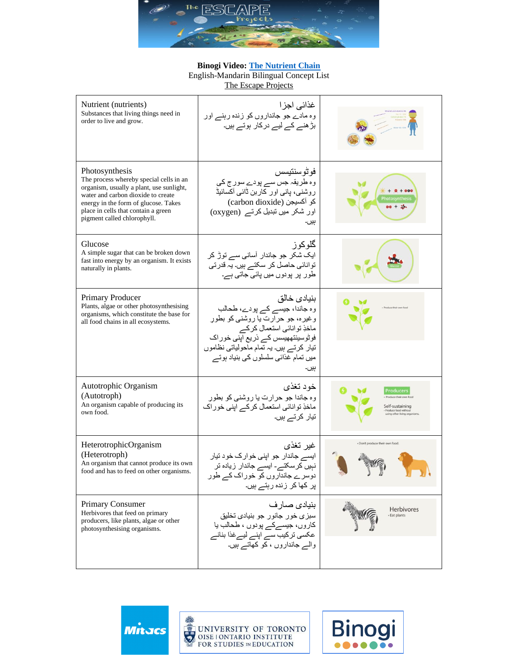

## **Binogi Video: [The Nutrient Chain](https://app.binogi.ca/l/the-nutrient-chain)**

English-Mandarin Bilingual Concept List

[The Escape Projects](https://escapeprojects.ca/)

| Nutrient (nutrients)<br>Substances that living things need in<br>order to live and grow.                                                                                                                                                                  | غذائي اجز ا<br>وہ مادے جو جانداروں کو زندہ رہنے اور<br>بڑ ھنے کے لیے در کار ہوتے ہیں۔                                                                                                                                                          |                                                        |
|-----------------------------------------------------------------------------------------------------------------------------------------------------------------------------------------------------------------------------------------------------------|------------------------------------------------------------------------------------------------------------------------------------------------------------------------------------------------------------------------------------------------|--------------------------------------------------------|
| Photosynthesis<br>The process whereby special cells in an<br>organism, usually a plant, use sunlight,<br>water and carbon dioxide to create<br>energy in the form of glucose. Takes<br>place in cells that contain a green<br>pigment called chlorophyll. | فو ٹو سنتیسس<br>وہ طریقہ جس سے پودے سورج کی<br>روشنبي، پانس اور كاربن ڈائبي أكسائيڈ<br>(carbon dioxide) كو أكسيجن<br>اور شکر میں تبدیل کرتے (oxygen)<br>ٻيں۔                                                                                   | hotosynthes<br>$30 + 3$                                |
| Glucose<br>A simple sugar that can be broken down<br>fast into energy by an organism. It exists<br>naturally in plants.                                                                                                                                   | گلو کو ز<br>ایک شکر جو جاندار آسانی سے توڑ کر<br>توانائی حاصل کر سکتے ہیں۔ یہ قدرتی<br>طور پر پودوں میں پائی جاتی ہے۔                                                                                                                          |                                                        |
| Primary Producer<br>Plants, algae or other photosynthesising<br>organisms, which constitute the base for<br>all food chains in all ecosystems.                                                                                                            | بنيادى خالق<br>وہ جاندا، جیسے کے پودے، طحالب<br>وغیرہ، جو حرارت یا روشنی کو بطور<br>ماخذِ توانائي استعمال كركے<br>فوٹوسینتھهیسس کے ذریع اپنی خور اک<br>تیار کرتے ہیں۔ یہ تمام ماحولیاتی نظاموں<br>میں تمام غذائبی سلسلوں کی بنیاد ہوتے<br>بیں۔ |                                                        |
| Autotrophic Organism<br>(Autotroph)<br>An organism capable of producing its<br>own food.                                                                                                                                                                  | خود تغذي<br>وه جاندا جو حرارت یا روشنی کو بطور<br>ماخذِ توانائی استعمال کرکے اپنی خوراک<br>تیار کرتے ہیں۔                                                                                                                                      | Producers<br>Produce their own food<br>Self-sustaining |
| HeterotrophicOrganism<br>(Heterotroph)<br>An organism that cannot produce its own<br>food and has to feed on other organisms.                                                                                                                             | غير تغذي<br>ایسے جاندار جو اپنی خوارک خود تیار<br>نہیں کرسکتے۔ ایسے جاندار زیادہ تر<br>دوسر ے جانداروں کو خور اک کے طور<br>پر کھا کر زندہ رہتے ہیں۔                                                                                            | · Don't produce their own food.                        |
| <b>Primary Consumer</b><br>Herbivores that feed on primary<br>producers, like plants, algae or other<br>photosynthesising organisms.                                                                                                                      | بنيادى صار ف<br>سبزی خور جانور جو بنیاد <i>ی</i> تخلیق<br>كاروں، جيسےكے پودوں ، طحالب يا<br>عکسی ترکیب سے اپنے لیےغذا بنانے<br>والے جانداروں ، کو کھاتے ہیں۔                                                                                   | <b>Herbivores</b><br>- Eat plants                      |